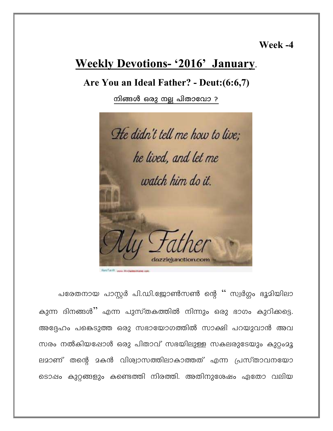Week -4

# **Weekly Devotions- '2016' January.**

## Are You an Ideal Father? - Deut: (6:6,7)

നിങ്ങൾ ഒരു നല്ല പിതാവോ ?



പരേതനായ പാസ്റ്റർ പി.ഡി.ജോൺസൺ ന്റെ '' സ്വർഗ്ഗം ഭൂമിയിലാ കുന്ന ദിനങ്ങൾ'' എന്ന പുസ്തകത്തിൽ നിന്നും ഒരു ഭാഗം കുറിക്കട്ടെ. അദ്ദേഹം പങ്കെടുത്ത ഒരു സഭായോഗത്തിൽ സാക്ഷി പറയുവാൻ അവ സരം നൽകിയപ്പോൾ ഒരു പിതാവ് സഭയിലുള്ള സകലരുടേയും കുറ്റംമൂ ലമാണ് തന്റെ മകൻ വിശ്വാസത്തിലാകാത്തത് എന്ന പ്രസ്താവനയോ ടൊഷം കുറ്റങ്ങളും കണ്ടെത്തി നിരത്തി. അതിനുശേഷം ഏതോ വലിയ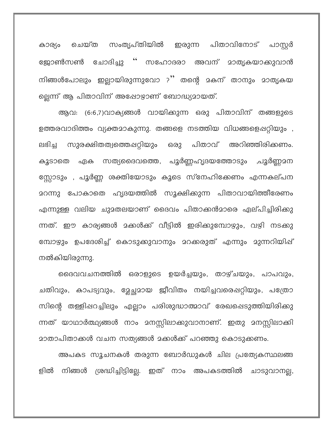ചെയ്ത സംതൃപ്തിയിൽ ഇരുന്ന പിതാവിനോട് പാസ്റ്റർ കാര്യം ജോൺസൺ ചോദിച്ചു '' സഹോദരാ അവന് മാതൃകയാക്കുവാൻ നിങ്ങൾപോലും ഇല്ലായിരുന്നുവോ ?'' തന്റെ മകന് താനും മാതൃകയ ല്ലെന്ന് ആ പിതാവിന് അഷോഴാണ് ബോദ്ധ്യമായത്.

ആവ: (6:6,7)വാക്യങ്ങൾ വായിക്കുന്ന ഒരു പിതാവിന് തങ്ങളുടെ ഉത്തരവാദിത്തം വ്യക്തമാകുന്നു. തങ്ങളെ നടത്തിയ വിധങ്ങളെപ്പറ്റിയും , സുരക്ഷിതത്വത്തെഷറ്റിയും ഒരു പിതാവ് അറിഞ്ഞിരിക്കണം. பஙி் ഏക സത്യദൈവത്തെ, പൂർണ്ണഹൃദയത്തോടും ,പൂർണ്ണമന കൂടാതെ സ്സോടും , പൂർണ്ണ ശക്തിയോടും കൂടെ സ്നേഹിക്കേണം എന്നകല്പന <u>ാ</u>റന്നു പോകാതെ ഹൃദയത്തിൽ സൂക്ഷിക്കുന്ന പിതാവായിത്തീരേണം എന്നുള്ള വലിയ ചുദതലയാണ് ദൈവം പിതാക്കൻദാരെ ഏല്പിച്ചിരിക്കു ന്നത്. ഈ കാര്യങ്ങൾ മക്കൾക്ക് വീട്ടിൽ ഇരിക്കുമ്പോഴും, വഴി നടക്കു മ്പോഴും ഉപദേശിച്ച് കൊടുക്കുവാനും മറക്കരുത് എന്നും മുന്നറിയിഷ് നൽകിയിരുന്നു.

ദൈവവചനത്തിൽ ഒരാളുടെ ഉയർച്ചയും, താഴ്ചയും, പാപവും, ചതിവും, കാപട്യവും, ഭ്ലേച്ഛമായ ജീവിതം നയിച്ചവരെഷറ്റിയും, പത്രോ സിന്റെ തള്ളിഷറച്ചിലും എല്ലാം പരിശുദ്ധാത്മാവ് രേഖഷെടുത്തിയിരിക്കു ന്നത് യാഥാർത്ഥ്യങ്ങൾ നാം മനസ്സിലാക്കുവാനാണ്. ഇതു മനസ്സിലാക്കി മാതാപിതാക്കൾ വചന സത്യങ്ങൾ മക്കൾക്ക് പറഞ്ഞു കൊടുക്കണം.

അപകട സൂചനകൾ തരുന്ന ബോർഡുകൾ ചില പ്രത്യേകസ്ഥലങ്ങ നിങ്ങൾ ശ്രദ്ധിച്ചിട്ടില്ലേ. ഇത് നാം അപകടത്തിൽ ചാടുവാനല്ല, ളിൽ